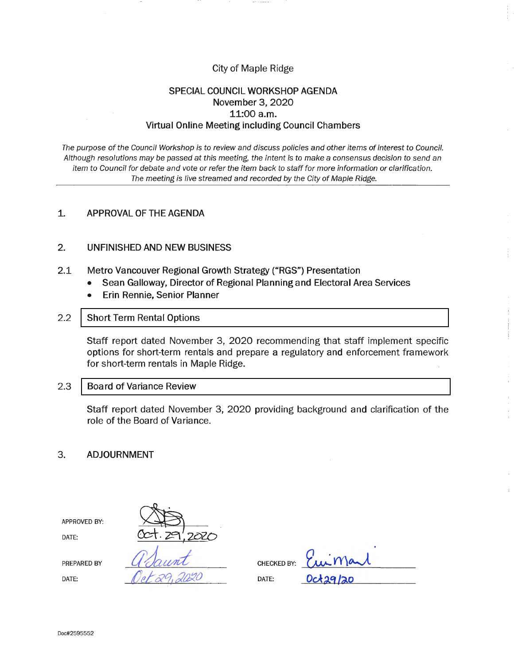# City of Maple Ridge

# **SPECIAL COUNCIL WORKSHOP AGENDA November 3, 2020 11:00 a.m. Virtual Online Meeting including Council Chambers**

The purpose of the Council Workshop is to review and discuss policies and other items of interest to Council. Although resolutions may be passed at this meeting, the intent is to make a consensus decision to send an item to Council for debate and vote or refer the item back to staff for more information or clarification. The meeting is live streamed and recorded by the City of Maple Ridge.

### **1. APPROVAL OF THE AGENDA**

#### **2. UNFINISHED AND NEW BUSINESS**

- 2.1 **Metro Vancouver Regional Growth Strategy ("RGS") Presentation** 
	- **Sean Galloway, Director of Regional Planning and Electoral Area Services**
	- **Erin Rennie, Senior Planner**
- 2.2 [Short Term Rental Options](#page-1-0)

Staff report dated November 3, 2020 recommending that staff implement specific options for short-term rentals and prepare a regulatory and enforcement framework for short-term rentals in Maple Ridge.

2.3 **[Board of Variance Review](#page-12-0)** 

Staff report dated November 3, 2020 providing background and clarification of the role of the Board of Variance.

#### **3. ADJOURNMENT**

| APPROVED BY: |             |             |                 |
|--------------|-------------|-------------|-----------------|
| DATE:        | 727<br>20 Y |             |                 |
| PREPARED BY  |             | CHECKED BY: | Eurmand         |
| DATE:        |             | DATE:       | <b>Oct29/20</b> |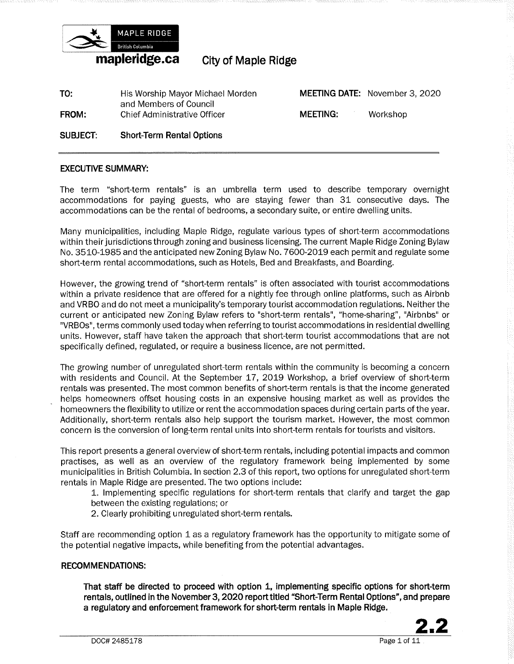<span id="page-1-0"></span>

**City of Maple Ridge.** 

**TO: FROM: SUBJECT:**  His Worship Mayor Michael Morden and Members of Council Chief Administrative Officer **Short-Term Rental Options MEETING DATE:** November 3, 2020 **MEETING:** Workshop

### **EXECUTIVE SUMMARY:**

The term "short-term rentals" is an umbrella term used to describe temporary overnight accommodations for paying guests, who are staying fewer than 31 consecutive days. The accommodations can be the rental of bedrooms, a secondary suite, or entire dwelling units.

Many municipalities, including Maple Ridge, regulate various types of short-term accommodations within their jurisdictions through zoning and business licensing. The current Maple Ridge Zoning Bylaw No. 3510-1985 and the anticipated new Zoning Bylaw No. 7600-2019 each permit and regulate some short-term rental accommodations, such as Hotels, Bed and Breakfasts, and Boarding.

However, the growing trend of "short-term rentals" is often associated with tourist accommodations within a private residence that are offered for a nightly fee through online platforms, such as Airbnb and VRBO and do not meet a municipality's temporary tourist accommodation regulations. Neither the current or anticipated new Zoning Bylaw refers to "short-term rentals", "home-sharing", "Airbnbs" or "VRBOs", terms commonly used today when referring to tourist accommodations in residential dwelling units. However, staff have taken the approach that short-term tourist accommodations that are not specifically defined, regulated, or require a business licence, are not permitted.

The growing number of unregulated short-term rentals within the community is becoming a concern with residents and Council. At the September 17, 2019 Workshop, a brief overview of short-term rentals was presented. The most common benefits of short-term rentals is that the income generated helps homeowners offset housing costs in an expensive housing market as well as provides the homeowners the flexibility to utilize or rent the accommodation spaces during certain parts of the year. Additionally, short-term rentals also help support the tourism market. However, the most common concern is the conversion of long-term rental units into short-term rentals for tourists and visitors.

This report presents a general overview of short-term rentals, including potential impacts and common practises, as well as an overview of the regulatory framework being implemented by some municipalities in British Columbia. In section 2.3 of this report, two options for unregulated short-term rentals in Maple Ridge are presented. The two options include:

- 1. Implementing specific regulations for short-term rentals that clarify and target the gap between the existing regulations; or
- 2. Clearly prohibiting unregulated short-term rentals.

Staff are recommending option 1 as a regulatory framework has the opportunity to mitigate some of the potential negative impacts, while benefiting from the potential advantages.

#### **RECOMMENDATIONS:**

**That staff be directed to proceed with option 1, implementing specific options for short-term rentals, outlined in the November 3, 2020 report titled "Short-Term Rental Options", and prepare a regulatory and enforcement framework for short-term rentals in Maple Ridge.** 

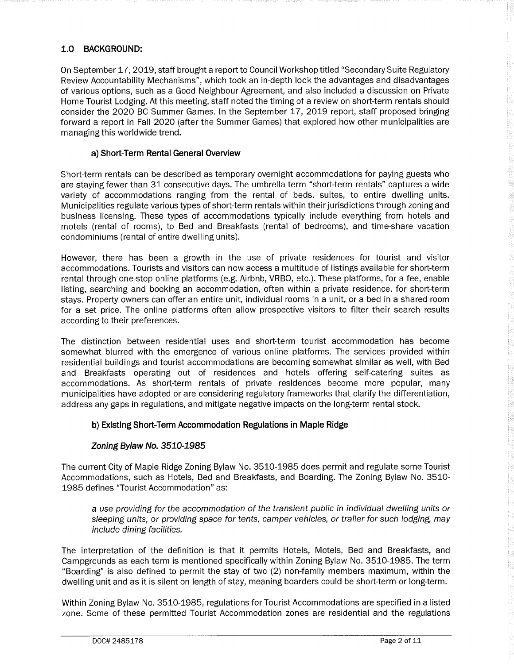# **1.0 BACKGROUND:**

On September 17, 2019, staff brought a report to Council Workshop titled "Secondary Suite Regulatory Review Accountability Mechanisms", which took an in-depth look the advantages and disadvantages of various options, such as a Good Neighbour Agreement, and also included a discussion on Private Home Tourist Lodging. At this meeting, staff noted the timing of a review on short-term rentals should consider the 2020 BC Summer Games. In the September 17, 2019 report, staff proposed bringing forward a report in Fall 2020 (after the Summer Games) that explored how other municipalities are managing this worldwide trend.

### **a) Short-Term Rental General Overview**

Short-term rentals can be described as temporary overnight accommodations for paying guests who are staying fewer than 31 consecutive days. The umbrella term "short-term rentals" captures a wide variety of accommodations ranging from the rental of beds, suites, to entire dwelling units. Municipalities regulate various types of short-term rentals within their jurisdictions through zoning and business licensing. These types of accommodations typically include everything from hotels and motels (rental of rooms), to Bed and Breakfasts (rental of bedrooms), and time-share vacation condominiums (rental of entire dwelling units).

However, there has been a growth in the use of private residences for tourist and visitor accommodations. Tourists and visitors can now access a multitude of listings available for short-term rental through one-stop online platforms (e.g. Airbnb, VRBO, etc.). These platforms, for a fee, enable listing, searching and booking an accommodation, often within a private residence, for short-term stays. Property owners can offer an entire unit, individual rooms in a unit, or a bed in a shared room for a set price. The online platforms often allow prospective visitors to filter their search results according to their preferences.

The distinction between residential uses and short-term tourist accommodation has become somewhat blurred with the emergence of various online platforms. The services provided within residential buildings and tourist accommodations are becoming somewhat similar as well, with Bed and Breakfasts operating out of residences and hotels offering self-catering suites as accommodations. As short-term rentals of private residences become more popular, many municipalities have adopted or are considering regulatory frameworks that clarify the differentiation, address any gaps in regulations, and mitigate negative impacts on the long-term rental stock.

# **b) Existing Short-Term Accommodation Regulations in Maple Ridge**

# **Zoning Bylaw No. 3510-1985**

The current City of Maple Ridge Zoning Bylaw No. 3510-1985 does permit and regulate some Tourist Accommodations, such as Hotels, Bed and Breakfasts, and Boarding. The Zoning Bylaw No. 3510- 1985 defines "Tourist Accommodation" as:

a use providing for the accommodation of the transient public in individual dwelling units or sleeping units, or providing space for tents, camper vehicles, or trailer for such lodging, may include dining facilities.

The interpretation of the definition is that it permits Hotels, Motels, Bed and Breakfasts, and Campgrounds as each term is mentioned specifically within Zoning Bylaw No. 3510-1985. The term "Boarding" is also defined to permit the stay of two (2) non-family members maximum, within the dwelling unit and as it is silent on length of stay, meaning boarders could be short-term or long-term.

Within Zoning Bylaw No. 3510-1985, regulations for Tourist Accommodations are specified in a listed zone. Some of these permitted Tourist Accommodation zones are residential and the regulations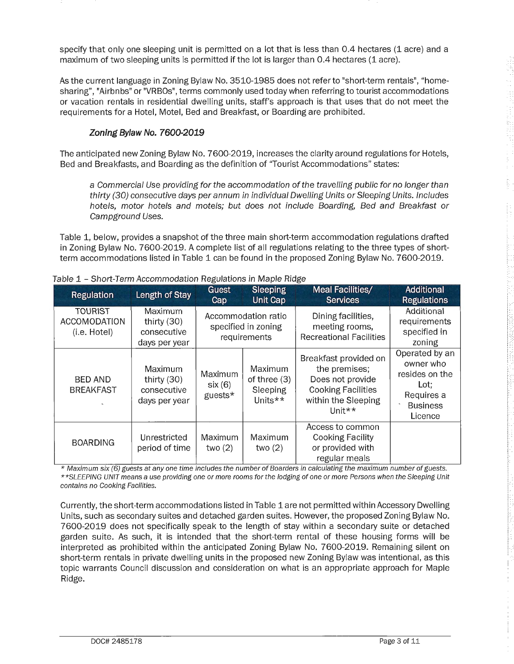specify that only one sleeping unit is permitted on a lot that is less than 0.4 hectares (1 acre) and a maximum of two sleeping units is permitted if the lot is larger than 0.4 hectares (1 acre).

As the current language in Zoning Bylaw No. 3510-1985 does not refer to "short-term rentals", "homesharing", "Airbnbs" or "VRBOs", terms commonly used today when referring to tourist accommodations or vacation rentals in residential dwelling units, staff's approach is that uses that do not meet the requirements for a Hotel, Motel, Bed and Breakfast, or Boarding are prohibited.

# **Zoning Bylaw No. 7600-2019**

The anticipated new Zoning Bylaw No. 7600-2019, increases the clarity around regulations for Hotels, Bed and Breakfasts, and Boarding as the definition of "Tourist Accommodations" states:

a Commercial Use providing for the accommodation of the travelling public for no longer than thirty (30) consecutive days per annum in individual Dwelling Units or Sleeping Units. Includes hotels, motor hotels and motels; but does not include Boarding, Bed and Breakfast or Campground Uses.

Table 1, below, provides a snapshot of the three main short-term accommodation regulations drafted in Zoning Bylaw No. 7600-2019. A complete list of all regulations relating to the three types of shortterm accommodations listed in Table 1 can be found in the proposed Zoning Bylaw No. 7600-2019.

| <b>Regulation</b>                                     | Length of Stay                                           | <b>Guest</b><br>Cap          | <b>Sleeping</b><br><b>Unit Cap</b>                         | <b>Meal Facilities/</b><br><b>Services</b>                                                                                                                   | <b>Additional</b><br><b>Regulations</b>                                                           |
|-------------------------------------------------------|----------------------------------------------------------|------------------------------|------------------------------------------------------------|--------------------------------------------------------------------------------------------------------------------------------------------------------------|---------------------------------------------------------------------------------------------------|
| <b>TOURIST</b><br><b>ACCOMODATION</b><br>(i.e. Hotel) | Maximum<br>thirty $(30)$<br>consecutive<br>days per year |                              | Accommodation ratio<br>specified in zoning<br>requirements | Dining facilities,<br>meeting rooms,<br><b>Recreational Facilities</b>                                                                                       | Additional<br>requirements<br>specified in<br>zoning                                              |
| <b>BED AND</b><br><b>BREAKFAST</b>                    | Maximum<br>thirty $(30)$<br>consecutive<br>days per year | Maximum<br>six(6)<br>guests* | Maximum<br>of three (3)<br>Sleeping<br>Units**             | Breakfast provided on<br>the premises;<br>Does not provide<br><b>Cooking Facilities</b><br>within the Sleeping<br>$\lfloor \ln it \cdot \cdot \cdot \rfloor$ | Operated by an<br>owner who<br>resides on the<br>Lot;<br>Requires a<br><b>Business</b><br>Licence |
| <b>BOARDING</b>                                       | Unrestricted<br>period of time                           | Maximum<br>two $(2)$         | Maximum<br>two $(2)$                                       | Access to common<br><b>Cooking Facility</b><br>or provided with<br>regular meals                                                                             |                                                                                                   |

|  |  |  | Table 1 – Short-Term Accommodation Regulations in Maple Ridge |  |  |
|--|--|--|---------------------------------------------------------------|--|--|
|--|--|--|---------------------------------------------------------------|--|--|

\* Maximum six (6) guests at any one time includes the number of Boarders in calculating the maximum number of guests. \* \*SLEEPING UNIT means a use providing one or more rooms for the lodging of one or more Persons when the Sleeping Unit contains no Cooking Facilities.

Currently, the short-term accommodations listed in Table 1 are not permitted within Accessory Dwelling Units, such as secondary suites and detached garden suites. However, the proposed Zoning Bylaw No. 7600-2019 does not specifically speak to the length of stay within a secondary suite or detached garden suite. As such, it is intended that the short-term rental of these housing forms will be interpreted as prohibited within the anticipated Zoning Bylaw No. 7600-2019. Remaining silent on short-term rentals in private dwelling units in the proposed new Zoning Bylaw was intentional, as this topic warrants Council discussion and consideration on what is an appropriate approach for Maple Ridge.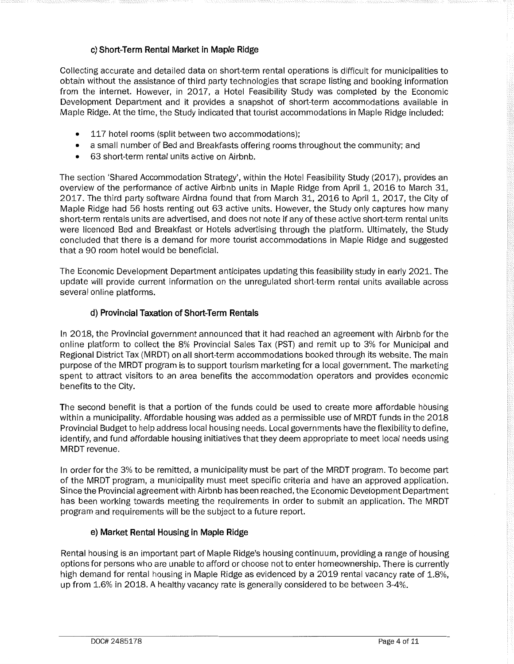# **c) Short-Term Rental Market in Maple Ridge**

Collecting accurate and detailed data on short-term rental operations is difficult for municipalities to obtain without the assistance of third party technologies that scrape listing and booking information from the internet. However, in 2017, a Hotel Feasibility Study was completed by the Economic Development Department and it provides a snapshot of short-term accommodations available in Maple Ridge. At the time, the Study indicated that tourist accommodations in Maple Ridge included:

- 117 hotel rooms (split between two accommodations);
- a small number of Bed and Breakfasts offering rooms throughout the community; and
- 63 short-term rental units active on Airbnb.

The section 'Shared Accommodation Strategy', within the Hotel Feasibility Study (2017), provides an overview of the performance of active Airbnb units in Maple Ridge from April 1, 2016 to March 31, 2017. The third party software Airdna found that from March 31, 2016 to April 1, 2017, the City of Maple Ridge had 56 hosts renting out 63 active units. However, the Study only captures how many short-term rentals units are advertised, and does not note if any of these active short-term rental units were licenced Bed and Breakfast or Hotels advertising through the platform. Ultimately, the Study concluded that there is a demand for more tourist accommodations in Maple Ridge and suggested that a 90 room hotel would be beneficial.

The Economic Development Department anticipates updating this feasibility study in early 2021. The update will provide current information on the unregulated short-term rental units available across several online platforms.

### **d) Provincial Taxation of Short-Term Rentals**

In 2018, the Provincial government announced that it had reached an agreement with Airbnb for the online platform to collect the 8% Provincial Sales Tax (PST) and remit up to 3% for Municipal and Regional District Tax (MRDT) on all short-term accommodations booked through its website. The main purpose of the MRDT program is to support tourism marketing for a local government. The marketing spent to attract visitors to an area benefits the accommodation operators and provides economic benefits to the City.

The second benefit is that a portion of the funds could be used to create more affordable housing within a municipality. Affordable housing was added as a permissible use of MRDT funds in the 2018 Provincial Budget to help address local housing needs. Local governments have the flexibility to define, identify, and fund affordable housing initiatives that they deem appropriate to meet local needs using MRDT revenue.

In order for the 3% to be remitted, a municipality must be part of the MRDT program. To become part of the MRDT program, a municipality must meet specific criteria and have an approved application. Since the Provincial agreement with Airbnb has been reached, the Economic Development Department has been working towards meeting the requirements in order to submit an application. The MRDT program and requirements will be the subject to a future report.

### **e) Market Rental Housing in Maple Ridge**

Rental housing is an important part of Maple Ridge's housing continuum, providing a range of housing options for persons who are unable to afford or choose not to enter homeownership. There is currently high demand for rental housing in Maple Ridge as evidenced by a 2019 rental vacancy rate of 1.8%, up from 1.6% in 2018. A healthy vacancy rate is generally considered to be between 3-4%.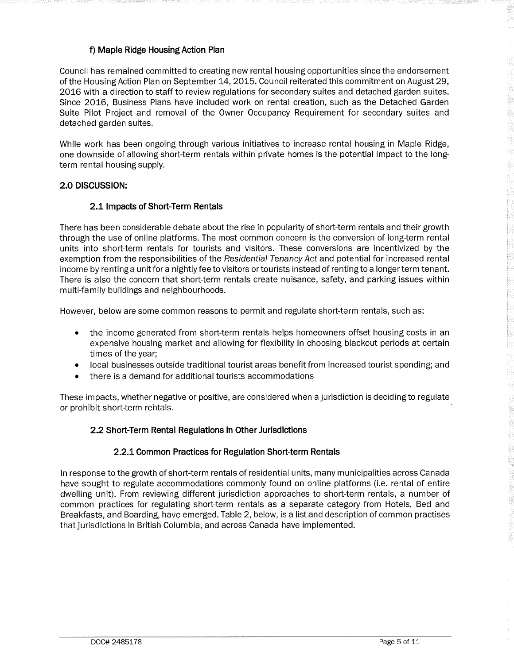# **f) Maple Ridge Housing Action Plan**

Council has remained committed to creating new rental housing opportunities since the endorsement of the Housing Action Plan on September 14, 2015. Council reiterated this commitment on August 29, 2016 with a direction to staff to review regulations for secondary suites and detached garden suites. Since 2016, Business Plans have included work on rental creation, such as the Detached Garden Suite Pilot Project and removal of the Owner Occupancy Requirement for secondary suites and detached garden suites.

While work has been ongoing through various initiatives to increase rental housing in Maple Ridge, one downside of allowing short-term rentals within private homes is the potential impact to the longterm rental housing supply.

### **2.0 DISCUSSION:**

### **2.1 Impacts of Short-Term Rentals**

There has been considerable debate about the rise in popularity of short-term rentals and their growth through the use of online platforms. The most common concern is the conversion of long-term rental units into short-term rentals for tourists and visitors. These conversions are incentivized by the exemption from the responsibilities of the Residential Tenancy Act and potential for increased rental income by renting a unit for a nightly fee to visitors or tourists instead of renting to a longer term tenant. There is also the concern that short-term rentals create nuisance, safety, and parking issues within multi-family buildings and neighbourhoods.

However, below are some common reasons to permit and regulate short-term rentals, such as:

- the income generated from short-term rentals helps homeowners offset housing costs in an expensive housing market and allowing for flexibility in choosing blackout periods at certain times of the year;
- local businesses outside traditional tourist areas benefit from increased tourist spending; and
- there is a demand for additional tourists accommodations

These impacts, whether negative or positive, are considered when a jurisdiction is deciding to regulate or prohibit short-term rentals.

### **2.2 Short-Term Rental Regulations in Other Jurisdictions**

### **2.2.1 Common Practices for Regulation Short-term Rentals**

In response to the growth of short-term rentals of residential units, many municipalities across Canada have sought to regulate accommodations commonly found on online platforms (i.e. rental of entire dwelling unit). From reviewing different jurisdiction approaches to short-term rentals, a number of common practices for regulating short-term rentals as a separate category from Hotels, Bed and Breakfasts, and Boarding, have emerged. Table 2, below, is a list and description of common practises that jurisdictions in British Columbia, and across Canada have implemented.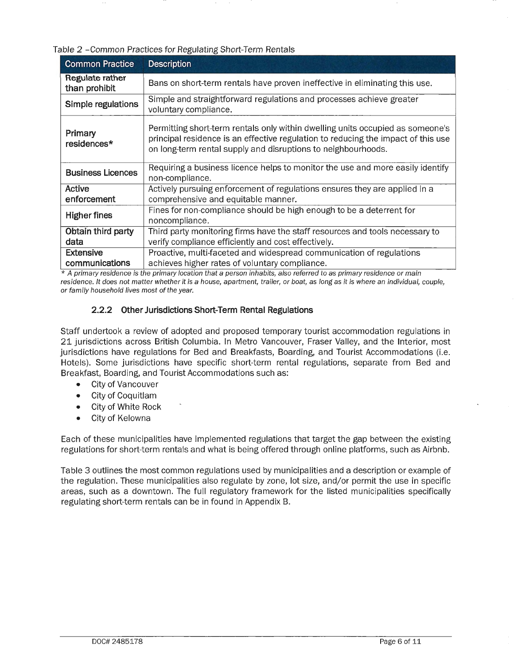Table 2 -Common Practices for Regulating Short-Term Rentals

| <b>Common Practice</b>           | <b>Description</b>                                                                                                                                                                                                                   |
|----------------------------------|--------------------------------------------------------------------------------------------------------------------------------------------------------------------------------------------------------------------------------------|
| Regulate rather<br>than prohibit | Bans on short-term rentals have proven ineffective in eliminating this use.                                                                                                                                                          |
| Simple regulations               | Simple and straightforward regulations and processes achieve greater<br>voluntary compliance.                                                                                                                                        |
| Primary<br>residences*           | Permitting short-term rentals only within dwelling units occupied as someone's<br>principal residence is an effective regulation to reducing the impact of this use<br>on long-term rental supply and disruptions to neighbourhoods. |
| <b>Business Licences</b>         | Requiring a business licence helps to monitor the use and more easily identify<br>non-compliance.                                                                                                                                    |
| Active<br>enforcement            | Actively pursuing enforcement of regulations ensures they are applied in a<br>comprehensive and equitable manner.                                                                                                                    |
| <b>Higher fines</b>              | Fines for non-compliance should be high enough to be a deterrent for<br>noncompliance.                                                                                                                                               |
| Obtain third party               | Third party monitoring firms have the staff resources and tools necessary to                                                                                                                                                         |
| data                             | verify compliance efficiently and cost effectively.                                                                                                                                                                                  |
| <b>Extensive</b>                 | Proactive, multi-faceted and widespread communication of regulations                                                                                                                                                                 |
| communications                   | achieves higher rates of voluntary compliance.                                                                                                                                                                                       |

 $*$  A primary residence is the primary location that a person inhabits, also referred to as primary residence or main residence. It does not matter whether it is a house, apartment, trailer, or boat, as long as it is where an individual, couple, or family household lives most of the year.

# **2.2.2 Other Jurisdictions Short-Term Rental Regulations**

Staff undertook a review of adopted and proposed temporary tourist accommodation regulations in 21 jurisdictions across British Columbia. In Metro Vancouver, Fraser Valley, and the Interior, most jurisdictions have regulations for Bed and Breakfasts, Boarding, and Tourist Accommodations (i.e. Hotels). Some jurisdictions have specific short-term rental regulations, separate from Bed and Breakfast, Boarding, and Tourist Accommodations such as:

- City of Vancouver
- City of Coquitlam
- City of White Rock
- City of Kelowna

Each of these municipalities have implemented regulations that target the gap between the existing regulations for short-term rentals and what is being offered through online platforms, such as Airbnb.

Table 3 outlines the most common regulations used by municipalities and a description or example of the regulation. These municipalities also regulate by zone, lot size, and/or permit the use in specific areas, such as a downtown. The full regulatory framework for the listed municipalities specifically regulating short-term rentals can be in found in Appendix 8.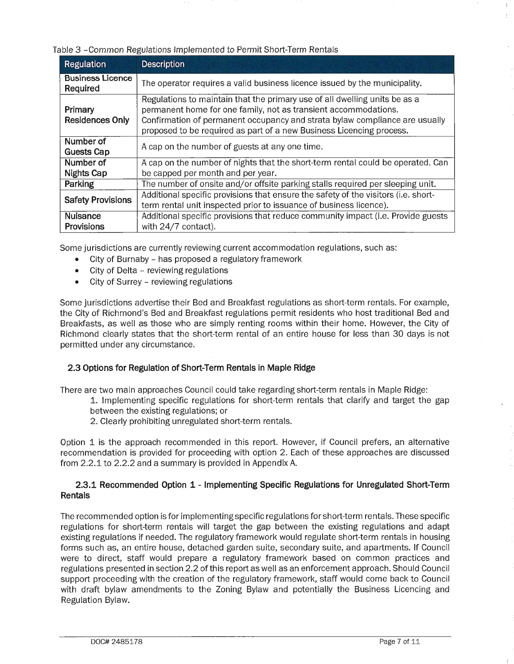### Table 3 -Common Regulations Implemented to Permit Short-Term Rentals

| <b>Regulation</b>                    | <b>Description</b>                                                                                                                                                                                                                                                                                   |
|--------------------------------------|------------------------------------------------------------------------------------------------------------------------------------------------------------------------------------------------------------------------------------------------------------------------------------------------------|
| <b>Business Licence</b><br>Required  | The operator requires a valid business licence issued by the municipality.                                                                                                                                                                                                                           |
| Primary<br><b>Residences Only</b>    | Regulations to maintain that the primary use of all dwelling units be as a<br>permanent home for one family, not as transient accommodations.<br>Confirmation of permanent occupancy and strata bylaw compliance are usually<br>proposed to be required as part of a new Business Licencing process. |
| Number of<br><b>Guests Cap</b>       | A cap on the number of guests at any one time.                                                                                                                                                                                                                                                       |
| Number of<br><b>Nights Cap</b>       | A cap on the number of nights that the short-term rental could be operated. Can<br>be capped per month and per year.                                                                                                                                                                                 |
| Parking                              | The number of onsite and/or offsite parking stalls required per sleeping unit.                                                                                                                                                                                                                       |
| <b>Safety Provisions</b>             | Additional specific provisions that ensure the safety of the visitors (i.e. short-<br>term rental unit inspected prior to issuance of business licence).                                                                                                                                             |
| <b>Nuisance</b><br><b>Provisions</b> | Additional specific provisions that reduce community impact (i.e. Provide guests<br>with 24/7 contact).                                                                                                                                                                                              |

Some jurisdictions are currently reviewing current accommodation regulations, such as:

- City of Burnaby has proposed a regulatory framework
- City of Delta reviewing regulations
- City of Surrey reviewing regulations

Some jurisdictions advertise their Bed and Breakfast regulations as short-term rentals. For example, the City of Richmond's Bed and Breakfast regulations permit residents who host traditional Bed and Breakfasts, as well as those who are simply renting rooms within their home. However, the City of Richmond clearly states that the short-term rental of an entire house for less than 30 days is not permitted under any circumstance.

### **2.3 Options for Regulation of Short-Term Rentals in Maple Ridge**

There are two main approaches Council could take regarding short-term rentals in Maple Ridge:

- 1. Implementing specific regulations for short-term rentals that clarify and target the gap between the existing regulations; or
- 2. Clearly prohibiting unregulated short-term rentals.

Option 1 is the approach recommended in this report. However, if Council prefers, an alternative recommendation is provided for proceeding with option 2. Each of these approaches are discussed from 2.2.1 to 2.2.2 and a summary is provided in Appendix A.

### **2.3.1 Recommended Option 1 - Implementing Specific Regulations for Unregulated Short-Term Rentals**

The recommended option is for implementing specific regulations for short-term rentals. These specific regulations for short-term rentals will target the gap between the existing regulations and adapt existing regulations if needed. The regulatory framework would regulate short-term rentals in housing forms such as, an entire house, detached garden suite, secondary suite, and apartments. If Council were to direct, staff would prepare a regulatory framework based on common practices and regulations presented in section 2.2 of this report as well as an enforcement approach. Should Council support proceeding with the creation of the regulatory framework, staff would come back to Council with draft bylaw amendments to the Zoning Bylaw and potentially the Business Licencing and Regulation Bylaw.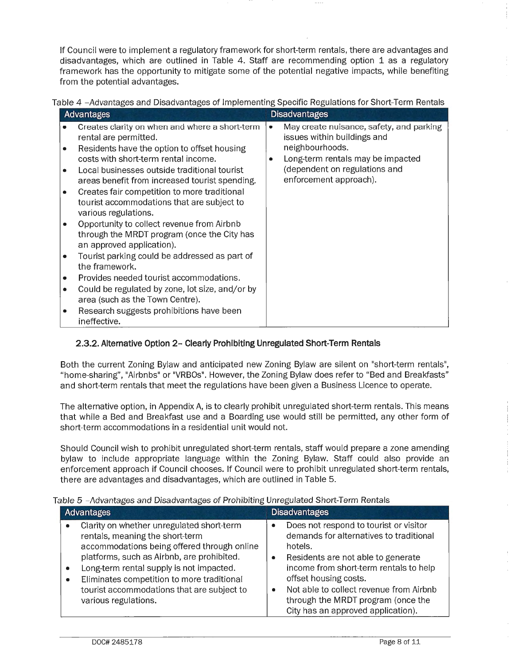If Council were to implement a regulatory framework for short-term rentals, there are advantages and disadvantages, which are outlined in Table 4. Staff are recommending option 1 as a regulatory framework has the opportunity to mitigate some of the potential negative impacts, while benefiting from the potential advantages.

|  | Table 4 –Advantages and Disadvantages of Implementing Specific Regulations for Short-Term Rentals |  |  |  |
|--|---------------------------------------------------------------------------------------------------|--|--|--|
|  |                                                                                                   |  |  |  |
|  |                                                                                                   |  |  |  |
|  |                                                                                                   |  |  |  |

| <b>Advantages</b>                                                                                                                                                                                                                                                                                                                                                                                                                                                                                                                                                                                                                                                                                                                                                                          | <b>Disadvantages</b>                                                                                                                                                                            |
|--------------------------------------------------------------------------------------------------------------------------------------------------------------------------------------------------------------------------------------------------------------------------------------------------------------------------------------------------------------------------------------------------------------------------------------------------------------------------------------------------------------------------------------------------------------------------------------------------------------------------------------------------------------------------------------------------------------------------------------------------------------------------------------------|-------------------------------------------------------------------------------------------------------------------------------------------------------------------------------------------------|
| Creates clarity on when and where a short-term<br>rental are permitted.<br>Residents have the option to offset housing<br>costs with short-term rental income.<br>Local businesses outside traditional tourist<br>areas benefit from increased tourist spending.<br>Creates fair competition to more traditional<br>٠<br>tourist accommodations that are subject to<br>various regulations.<br>Opportunity to collect revenue from Airbnb<br>through the MRDT program (once the City has<br>an approved application).<br>Tourist parking could be addressed as part of<br>the framework.<br>Provides needed tourist accommodations.<br>٠<br>Could be regulated by zone, lot size, and/or by<br>area (such as the Town Centre).<br>Research suggests prohibitions have been<br>ineffective. | May create nuisance, safety, and parking<br>۰<br>issues within buildings and<br>neighbourhoods.<br>Long-term rentals may be impacted<br>(dependent on regulations and<br>enforcement approach). |

# **2.3.2. Alternative Option 2- Clearly Prohibiting Unregulated Short-Term Rentals**

Both the current Zoning Bylaw and anticipated new Zoning Bylaw are silent on "short-term rentals", "home-sharing", "Airbnbs" or "VRBOs". However, the Zoning Bylaw does refer to "Bed and Breakfasts" and short-term rentals that meet the regulations have been given a Business Licence to operate.

The alternative option, in Appendix A, is to clearly prohibit unregulated short-term rentals. This means that while a Bed and Breakfast use and a Boarding use would still be permitted, any other form of short-term accommodations in a residential unit would not.

Should Council wish to prohibit unregulated short-term rentals, staff would prepare a zone amending bylaw to include appropriate language within the Zoning Bylaw. Staff could also provide an enforcement approach if Council chooses. If Council were to prohibit unregulated short-term rentals, there are advantages and disadvantages, which are outlined in Table 5.

| able 5 -Advantages and Disadvantages of Frombiting Unregulated Short-Tenn Rentals                                                                                                                                                                                                                                                                        |                                                                                                                                                                                                                                                                                                                                                        |  |  |  |  |  |
|----------------------------------------------------------------------------------------------------------------------------------------------------------------------------------------------------------------------------------------------------------------------------------------------------------------------------------------------------------|--------------------------------------------------------------------------------------------------------------------------------------------------------------------------------------------------------------------------------------------------------------------------------------------------------------------------------------------------------|--|--|--|--|--|
| <b>Advantages</b>                                                                                                                                                                                                                                                                                                                                        | <b>Disadvantages</b>                                                                                                                                                                                                                                                                                                                                   |  |  |  |  |  |
| Clarity on whether unregulated short-term<br>۰<br>rentals, meaning the short-term<br>accommodations being offered through online<br>platforms, such as Airbnb, are prohibited.<br>Long-term rental supply is not impacted.<br>۰<br>Eliminates competition to more traditional<br>٠<br>tourist accommodations that are subject to<br>various regulations. | Does not respond to tourist or visitor<br>demands for alternatives to traditional<br>hotels.<br>Residents are not able to generate<br>$\bullet$<br>income from short-term rentals to help<br>offset housing costs.<br>Not able to collect revenue from Airbnb<br>$\bullet$<br>through the MRDT program (once the<br>City has an approved application). |  |  |  |  |  |

# Table 5 -Advantages and Disadvantages of Prohibiting Unregulated Short-Term Rentals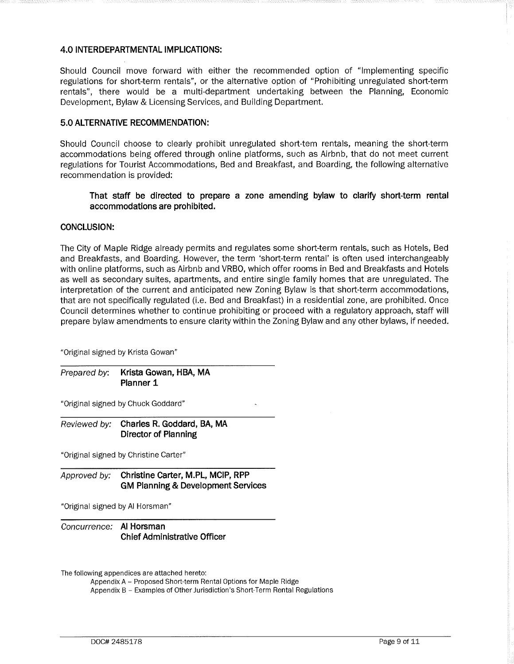#### **4.0 INTERDEPARTMENTAL IMPLICATIONS:**

Should Council move forward with either the recommended option of "Implementing specific regulations for short-term rentals", or the alternative option of "Prohibiting unregulated short-term rentals", there would be a multi-department undertaking between the Planning, Economic Development, Bylaw & Licensing Services, and Building Department.

### **5.0 ALTERNATIVE RECOMMENDATION:**

Should Council choose to clearly prohibit unregulated short-tern rentals, meaning the short-term accommodations being offered through online platforms, such as Airbnb, that do not meet current regulations for Tourist Accommodations, Bed and Breakfast, and Boarding, the following alternative recommendation is provided:

### **That staff be directed to prepare a zone amending bylaw to clarify short-term rental accommodations are prohibited.**

#### **CONCLUSION:**

The City of Maple Ridge already permits and regulates some short-term rentals, such as Hotels, Bed and Breakfasts, and Boarding. However, the term 'short-term rental' is often used interchangeably with online platforms, such as Airbnb and VRBO, which offer rooms in Bed and Breakfasts and Hotels as well as secondary suites, apartments, and entire single family homes that are unregulated. The interpretation of the current and anticipated new Zoning Bylaw is that short-term accommodations, that are not specifically regulated (i.e. Bed and Breakfast) in a residential zone, are prohibited. Once Council determines whether to continue prohibiting or proceed with a regulatory approach, staff will prepare bylaw amendments to ensure clarity within the Zoning Bylaw and any other bylaws, if needed.

"Original signed by Krista Gowan"

Prepared by: **Krista Gowan, HBA, MA Planner 1** 

"Original signed by Chuck Goddard"

Reviewed by: **Charles R. Goddard, BA, MA Director of Planning** 

"Original signed by Christine Carter"

Approved by: **Christine Carter, M.PL, MCIP, RPP GM Planning & Development Services** 

"Original signed by Al Horsman"

Concurrence: **Al Horsman Chief Administrative Officer** 

The following appendices are attached hereto:

Appendix A - Proposed Short-term Rental Options for Maple Ridge

Appendix B - Examples of Other Jurisdiction's Short-Term Rental Regulations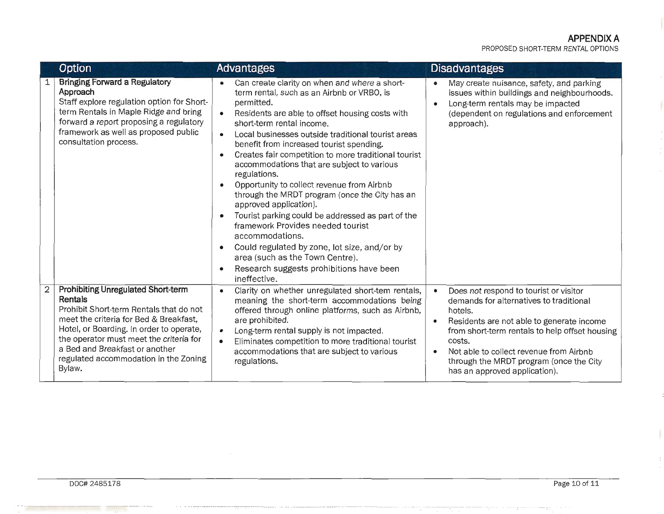# **APPENDIX A**

PROPOSED SHORT-TERM RENTAL OPTIONS

|                | Option                                                                                                                                                                                                                                                                                                                | <b>Advantages</b>                                                                                                                                                                                                                                                                                                                                                                                                                                                                                                                                                                                                                                                                                                                                                                                                                 | <b>Disadvantages</b>                                                                                                                                                                                                                                                                                                                                                |
|----------------|-----------------------------------------------------------------------------------------------------------------------------------------------------------------------------------------------------------------------------------------------------------------------------------------------------------------------|-----------------------------------------------------------------------------------------------------------------------------------------------------------------------------------------------------------------------------------------------------------------------------------------------------------------------------------------------------------------------------------------------------------------------------------------------------------------------------------------------------------------------------------------------------------------------------------------------------------------------------------------------------------------------------------------------------------------------------------------------------------------------------------------------------------------------------------|---------------------------------------------------------------------------------------------------------------------------------------------------------------------------------------------------------------------------------------------------------------------------------------------------------------------------------------------------------------------|
|                | <b>Bringing Forward a Regulatory</b><br>Approach<br>Staff explore regulation option for Short-<br>term Rentals in Maple Ridge and bring<br>forward a report proposing a regulatory<br>framework as well as proposed public<br>consultation process.                                                                   | Can create clarity on when and where a short-<br>term rental, such as an Airbnb or VRBO, is<br>permitted.<br>Residents are able to offset housing costs with<br>$\bullet$<br>short-term rental income.<br>Local businesses outside traditional tourist areas<br>$\bullet$<br>benefit from increased tourist spending.<br>Creates fair competition to more traditional tourist<br>accommodations that are subject to various<br>regulations.<br>Opportunity to collect revenue from Airbnb<br>through the MRDT program (once the City has an<br>approved application).<br>Tourist parking could be addressed as part of the<br>framework Provides needed tourist<br>accommodations.<br>Could regulated by zone, lot size, and/or by<br>area (such as the Town Centre).<br>Research suggests prohibitions have been<br>ineffective. | May create nuisance, safety, and parking<br>$\bullet$<br>issues within buildings and neighbourhoods.<br>Long-term rentals may be impacted<br>$\bullet$<br>(dependent on regulations and enforcement<br>approach).                                                                                                                                                   |
| $\overline{2}$ | <b>Prohibiting Unregulated Short-term</b><br>Rentals<br>Prohibit Short-term Rentals that do not<br>meet the criteria for Bed & Breakfast,<br>Hotel, or Boarding. In order to operate,<br>the operator must meet the criteria for<br>a Bed and Breakfast or another<br>regulated accommodation in the Zoning<br>Bylaw. | Clarity on whether unregulated short-tem rentals,<br>$\bullet$<br>meaning the short-term accommodations being<br>offered through online platforms, such as Airbnb,<br>are prohibited.<br>Long-term rental supply is not impacted.<br>$\bullet$<br>Eliminates competition to more traditional tourist<br>accommodations that are subject to various<br>regulations.                                                                                                                                                                                                                                                                                                                                                                                                                                                                | Does not respond to tourist or visitor<br>$\bullet$<br>demands for alternatives to traditional<br>hotels.<br>Residents are not able to generate income<br>$\bullet$<br>from short-term rentals to help offset housing<br>costs.<br>Not able to collect revenue from Airbnb<br>$\bullet$<br>through the MRDT program (once the City<br>has an approved application). |

. ', -:i7T,.:-r. ~D~f·:'.Jl~'.\UtJ\l'.111 i1~1iiilll <sup>11</sup> ffi1Uffifil•i: i:j .:;,,,, ;. ,; ;;1;J;;~ !' ,, -:'.11i:r1 ,.Hl~f2STiii(\l!F1%Ll~iW11Hi\_:ld!TI:j:1\_1:1,'.::filhi:l·,' <sup>1</sup>

I<br>I<br>I<br>I

 $\cdots$ 

:' 1;~!1l•.nnnn1:r:1rrt:1'·ll\_;!1ii~: <sup>1</sup>

·:::i::::::ff::J'.'.:j' <sup>11</sup> ::1n1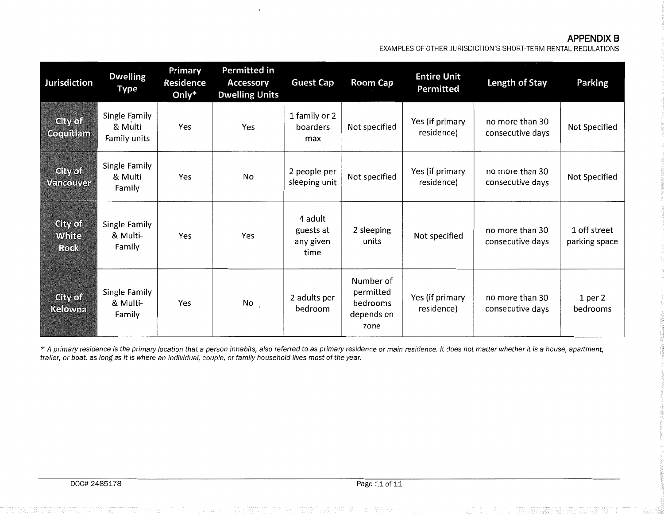#### **APPENDIX B**

EXAMPLES OF OTHER JURISDICTION'S SHORT-TERM RENTAL REGULATIONS

| Jurisdiction                                  | <b>Dwelling</b><br><b>Type</b>           | Primary<br><b>Residence</b><br>Only $*$ | Permitted in<br><b>Accessory</b><br><b>Dwelling Units</b> | <b>Guest Cap</b>                          | Room Cap                                                 | <b>Entire Unit</b><br>Permitted | Length of Stay                      | Parking                       |
|-----------------------------------------------|------------------------------------------|-----------------------------------------|-----------------------------------------------------------|-------------------------------------------|----------------------------------------------------------|---------------------------------|-------------------------------------|-------------------------------|
| City of<br>Coquitlam                          | Single Family<br>& Multi<br>Family units | Yes                                     | Yes                                                       | 1 family or 2<br>boarders<br>max          | Not specified                                            | Yes (if primary<br>residence)   | no more than 30<br>consecutive days | Not Specified                 |
| City of<br>Vancouver                          | Single Family<br>& Multi<br>Family       | Yes                                     | No                                                        | 2 people per<br>sleeping unit             | Not specified                                            | Yes (if primary<br>residence)   | no more than 30<br>consecutive days | Not Specified                 |
| <b>City of</b><br><b>White</b><br><b>Rock</b> | Single Family<br>& Multi-<br>Family      | Yes                                     | Yes                                                       | 4 adult<br>guests at<br>any given<br>time | 2 sleeping<br>units                                      | Not specified                   | no more than 30<br>consecutive days | 1 off street<br>parking space |
| City of<br>Kelowna                            | Single Family<br>& Multi-<br>Family      | <b>College</b><br>Yes                   | No                                                        | 2 adults per<br>bedroom                   | Number of<br>permitted<br>bedrooms<br>depends on<br>zone | Yes (if primary<br>residence)   | no more than 30<br>consecutive days | 1 per 2<br>bedrooms           |

\* A primary residence is the primary location that a person inhabits, also referred to as primary residence or main residence. It does not matter whether it is a house, apartment, trailer, or boat, as long as it is where an individual, couple, or family household lives most of the year.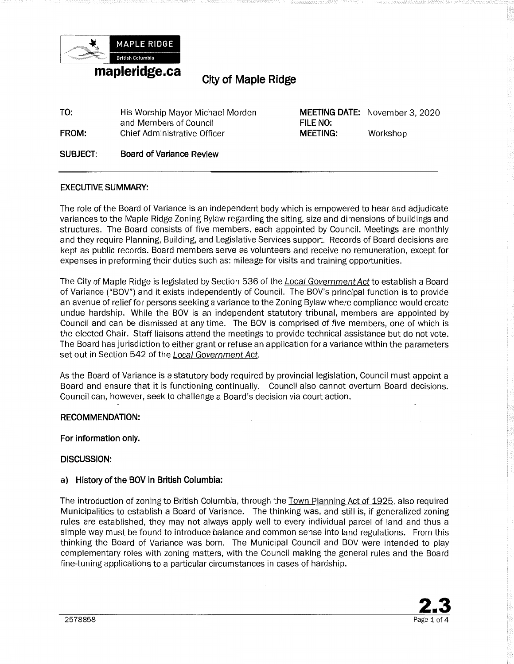<span id="page-12-0"></span>

# **City of Maple Ridge.**

| TO:   | His Worship Mayor Michael Morden |
|-------|----------------------------------|
|       | and Members of Council           |
| FROM: | Chief Administrative Officer     |
|       |                                  |

**MEETING DATE:** November 3, 2020 **FILE NO: MEETING:** Workshop

**SUBJECT: Board of Variance Review** 

### **EXECUTIVE SUMMARY:**

The role of the Board of Variance is an independent body which is empowered to hear and adjudicate variances to the Maple Ridge Zoning Bylaw regarding the siting, size and dimensions of buildings and structures. The Board consists of five members, each appointed by Council. Meetings are monthly and they require Planning, Building, and Legislative Services support. Records of Board decisions are kept as public records. Board members serve as volunteers and receive no remuneration, except for expenses in preforming their duties such as: mileage for visits and training opportunities.

The City of Maple Ridge is legislated by Section 536 of the *Local Government Act* to establish a Board of Variance ("BOV") and it exists independently of Council. The BOV's principal function is to provide an avenue of relieffor persons seeking a variance to the Zoning Bylaw where compliance would create undue hardship. While the BOV is an independent statutory tribunal, members are appointed by Council and can be dismissed at any time. The BOV is comprised of five members, one of which is the elected Chair. Staff liaisons attend the meetings to provide technical assistance but do not vote. The Board has jurisdiction to either grant or refuse an application for a variance within the parameters set out in Section 542 of the Local Government Act.

As the Board of Variance is a statutory body required by provincial legislation, Council must appoint a Board and ensure that it is functioning continually. Council also cannot overturn Board decisions. Council can, however, seek to challenge a Board's decision via court action.

#### **RECOMMENDATION:**

#### **For information only.**

#### **DISCUSSION:**

#### **a} History of the BOV in British Columbia:**

The introduction of zoning to British Columbia, through the Town Planning Act of 1925, also required Municipalities to establish a Board of Variance. The thinking was, and still is, if generalized zoning rules are established, they may not always apply well to every individual parcel of land and thus a simple way must be found to introduce balance and common sense into land regulations. From this thinking the Board of Variance was born. The Municipal Council and BOV were intended to play complementary roles with zoning matters, with the Council making the general rules and the Board fine-tuning applications to a particular circumstances in cases of hardship.

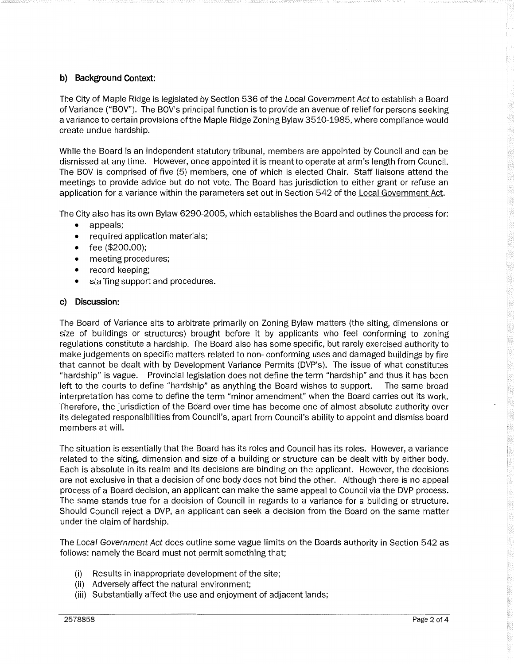### **b) Background Context:**

The City of Maple Ridge is legislated by Section 536 of the Local Government Act to establish a Board of Variance ("BOV"). The BOV's principal function is to provide an avenue of relief for persons seeking a variance to certain provisions of the Maple Ridge Zoning Bylaw 3510-1985, where compliance would create undue hardship.

While the Board is an independent statutory tribunal, members are appointed by Council and can be dismissed at any time. However, once appointed it is meant to operate at arm's length from Council. The BOV is comprised of five (5) members, one of which is elected Chair. Staff liaisons attend the meetings to provide advice but do not vote. The Board has jurisdiction to either grant or refuse an application for a variance within the parameters set out in Section 542 of the Local Government Act.

The City also has its own Bylaw 6290-2005, which establishes the Board and outlines the process for:

- appeals;
- required application materials;
- fee (\$200.00);
- meeting procedures;
- record keeping;
- staffing support and procedures.

#### **c) Discussion:**

The Board of Variance sits to arbitrate primarily on Zoning Bylaw matters (the siting, dimensions or size of buildings or structures) brought before it by applicants who feel conforming to zoning regulations constitute a hardship. The Board also has some specific, but rarely exercised authority to make judgements on specific matters related to non- conforming uses and damaged buildings by fire that cannot be dealt with by Development Variance Permits (DVP's). The issue of what constitutes "hardship" is vague. Provincial legislation does not define the term "hardship" and thus it has been left to the courts to define "hardship" as anything the Board wishes to support. The same broad interpretation has come to define the term "minor amendment" when the Board carries out its work. Therefore, the jurisdiction of the Board over time has become one of almost absolute authority over its delegated responsibilities from Council's, apart from Council's ability to appoint and dismiss board members at will.

The situation is essentially that the Board has its roles and Council has its roles. However, a variance related to the siting, dimension and size of a building or structure can be dealt with by either body. Each is absolute in its realm and its decisions are binding on the applicant. However, the decisions are not exclusive in that a decision of one body does not bind the other. Although there is no appeal process of a Board decision, an applicant can make the same appeal to Council via the DVP process. The same stands true for a decision of Council in regards to a variance for a building or structure. Should Council reject a DVP, an applicant can seek a decision from the Board on the same matter under the claim of hardship.

The Local Government Act does outline some vague limits on the Boards authority in Section 542 as follows: namely the Board must not permit something that;

- (i) Results in inappropriate development of the site;
- (ii) Adversely affect the natural environment;
- (iii) Substantially affect the use and enjoyment of adjacent lands;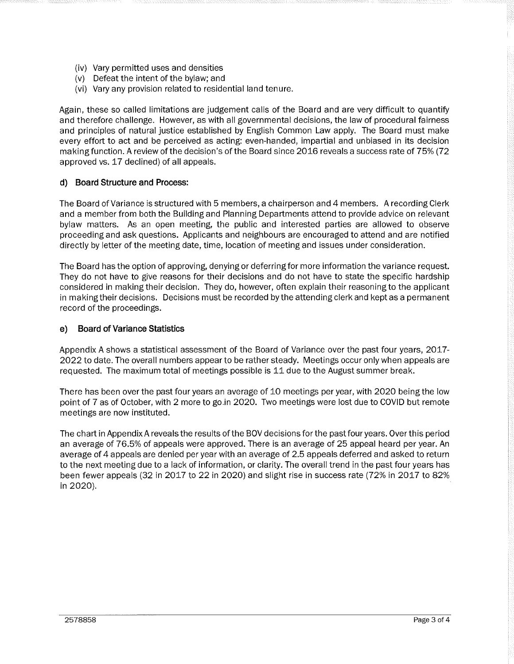- (iv) Vary permitted uses and densities
- (v) Defeat the intent of the bylaw; and
- (vi) Vary any provision related to residential land tenure.

Again, these so called limitations are judgement calls of the Board and are very difficult to quantify and therefore challenge. However, as with all governmental decisions, the law of procedural fairness and principles of natural justice established by English Common Law apply. The Board must make every effort to act and be perceived as acting: even-handed, impartial and unbiased in its decision making function. A review of the decision's of the Board since 2016 reveals a success rate of 75% (72 approved vs. 17 declined) of all appeals.

#### **d) Board Structure and Process:**

The Board of Variance is structured with 5 members, a chairperson and 4 members. A recording Clerk and a member from both the Building and Planning Departments attend to provide advice on relevant bylaw matters. As an open meeting, the public and interested parties are allowed to observe proceeding and ask questions. Applicants and neighbours are encouraged to attend and are notified directly by letter of the meeting date, time, location of meeting and issues under consideration.

The Board has the option of approving, denying or deferring for more information the variance request. They do not have to give reasons for their decisions and do not have to state the specific hardship considered in making their decision. They do, however, often explain their reasoning to the applicant in making their decisions. Decisions must be recorded by the attending clerk and kept as a permanent record of the proceedings.

#### **e) Board of Variance Statistics**

Appendix A shows a statistical assessment of the Board of Variance over the past four years, 2017- 2022 to date. The overall numbers appear to be rather steady. Meetings occur only when appeals are requested. The maximum total of meetings possible is 11 due to the August summer break.

There has been over the past four years an average of 10 meetings per year, with 2020 being the low point of 7 as of October, with 2 more to go.in 2020. Two meetings were lost due to COVID but remote meetings are now instituted.

The chart in Appendix A reveals the results of the BOV decisions for the past four years. Over this period an average of 76.5% of appeals were approved. There is an average of 25 appeal heard per year. An average of 4 appeals are denied per year with an average of 2.5 appeals deferred and asked to return to the next meeting due to a lack of information, or clarity. The overall trend in the past four years has been fewer appeals (32 in 2017 to 22 in 2020) and slight rise in success rate (72% in 2017 to 82% in 2020).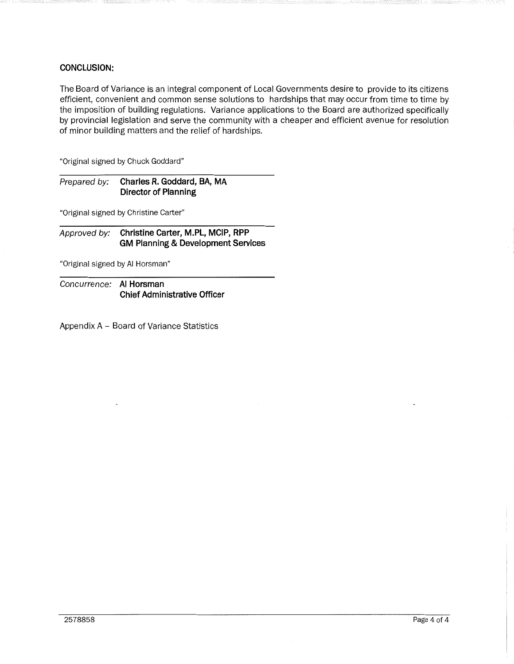### **CONCLUSION:**

The Board of Variance is an integral component of Local Governments desire to provide to its citizens efficient, convenient and common sense solutions to hardships that may occur from time to time by the imposition of building regulations. Variance applications to the Board are authorized specifically by provincial legislation and serve the community with a cheaper and efficient avenue for resolution of minor building matters and the relief of hardships.

"Original signed by Chuck Goddard"

Prepared by: **Charles R. Goddard, BA, MA Director of Planning** 

"Original signed by Christine Carter"

Approved by: **Christine Carter, M.PL, MCIP, RPP GM Planning & Development Services** 

"Original signed by Al Horsman"

Concurrence: **Al Horsman Chief Administrative Officer** 

Appendix A - Board of Variance Statistics